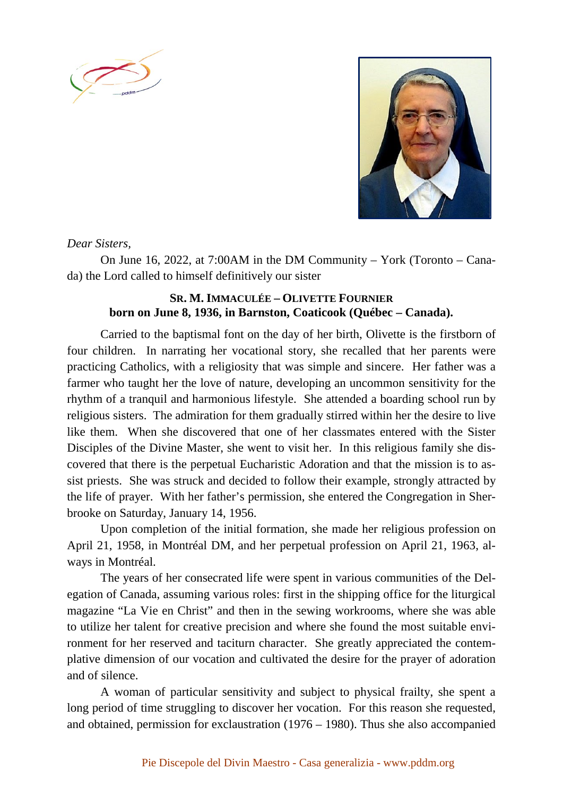



*Dear Sisters,* 

On June 16, 2022, at 7:00AM in the DM Community – York (Toronto – Canada) the Lord called to himself definitively our sister

## **SR. M. IMMACULÉE – OLIVETTE FOURNIER born on June 8, 1936, in Barnston, Coaticook (Québec – Canada).**

Carried to the baptismal font on the day of her birth, Olivette is the firstborn of four children. In narrating her vocational story, she recalled that her parents were practicing Catholics, with a religiosity that was simple and sincere. Her father was a farmer who taught her the love of nature, developing an uncommon sensitivity for the rhythm of a tranquil and harmonious lifestyle. She attended a boarding school run by religious sisters. The admiration for them gradually stirred within her the desire to live like them. When she discovered that one of her classmates entered with the Sister Disciples of the Divine Master, she went to visit her. In this religious family she discovered that there is the perpetual Eucharistic Adoration and that the mission is to assist priests. She was struck and decided to follow their example, strongly attracted by the life of prayer. With her father's permission, she entered the Congregation in Sherbrooke on Saturday, January 14, 1956.

Upon completion of the initial formation, she made her religious profession on April 21, 1958, in Montréal DM, and her perpetual profession on April 21, 1963, always in Montréal.

The years of her consecrated life were spent in various communities of the Delegation of Canada, assuming various roles: first in the shipping office for the liturgical magazine "La Vie en Christ" and then in the sewing workrooms, where she was able to utilize her talent for creative precision and where she found the most suitable environment for her reserved and taciturn character. She greatly appreciated the contemplative dimension of our vocation and cultivated the desire for the prayer of adoration and of silence.

A woman of particular sensitivity and subject to physical frailty, she spent a long period of time struggling to discover her vocation. For this reason she requested, and obtained, permission for exclaustration (1976 – 1980). Thus she also accompanied